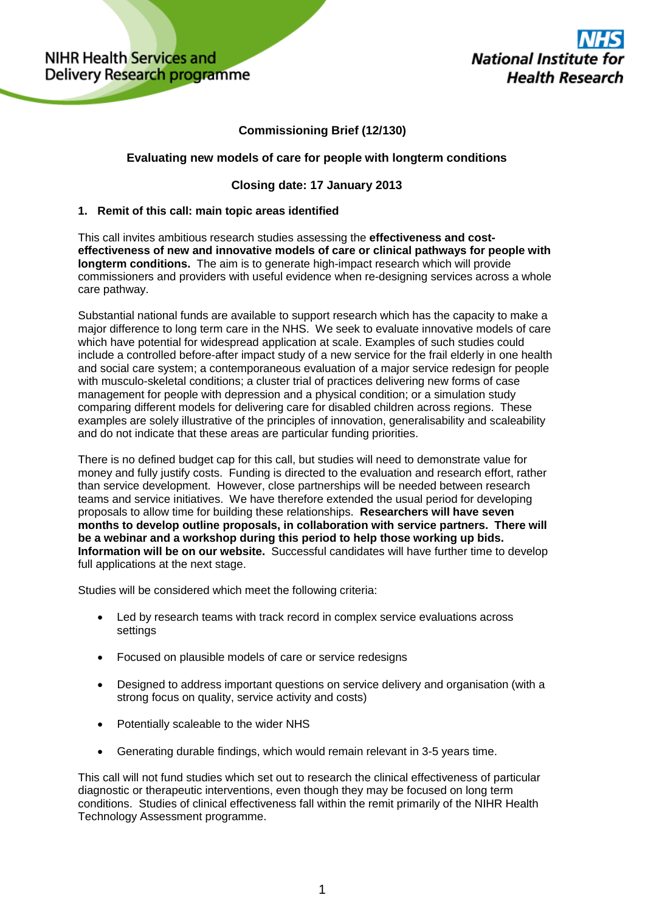# **Commissioning Brief (12/130)**

## **Evaluating new models of care for people with longterm conditions**

## **Closing date: 17 January 2013**

#### **1. Remit of this call: main topic areas identified**

This call invites ambitious research studies assessing the **effectiveness and costeffectiveness of new and innovative models of care or clinical pathways for people with longterm conditions.** The aim is to generate high-impact research which will provide commissioners and providers with useful evidence when re-designing services across a whole care pathway.

Substantial national funds are available to support research which has the capacity to make a major difference to long term care in the NHS. We seek to evaluate innovative models of care which have potential for widespread application at scale. Examples of such studies could include a controlled before-after impact study of a new service for the frail elderly in one health and social care system; a contemporaneous evaluation of a major service redesign for people with musculo-skeletal conditions; a cluster trial of practices delivering new forms of case management for people with depression and a physical condition; or a simulation study comparing different models for delivering care for disabled children across regions. These examples are solely illustrative of the principles of innovation, generalisability and scaleability and do not indicate that these areas are particular funding priorities.

There is no defined budget cap for this call, but studies will need to demonstrate value for money and fully justify costs. Funding is directed to the evaluation and research effort, rather than service development. However, close partnerships will be needed between research teams and service initiatives. We have therefore extended the usual period for developing proposals to allow time for building these relationships. **Researchers will have seven months to develop outline proposals, in collaboration with service partners. There will be a webinar and a workshop during this period to help those working up bids. Information will be on our website.** Successful candidates will have further time to develop full applications at the next stage.

Studies will be considered which meet the following criteria:

- Led by research teams with track record in complex service evaluations across settings
- Focused on plausible models of care or service redesigns
- Designed to address important questions on service delivery and organisation (with a strong focus on quality, service activity and costs)
- Potentially scaleable to the wider NHS
- Generating durable findings, which would remain relevant in 3-5 years time.

This call will not fund studies which set out to research the clinical effectiveness of particular diagnostic or therapeutic interventions, even though they may be focused on long term conditions. Studies of clinical effectiveness fall within the remit primarily of the NIHR Health Technology Assessment programme.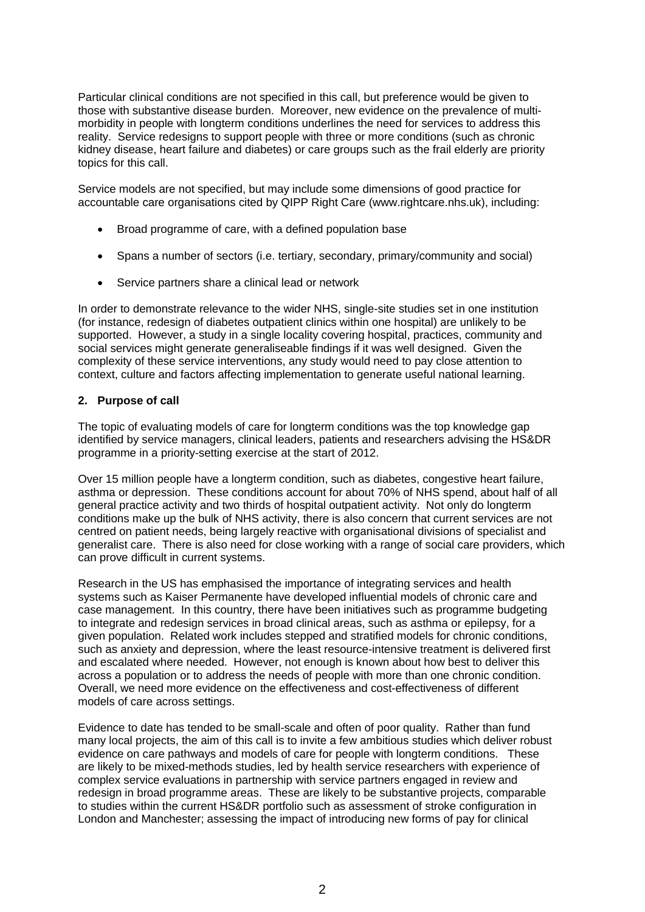Particular clinical conditions are not specified in this call, but preference would be given to those with substantive disease burden. Moreover, new evidence on the prevalence of multimorbidity in people with longterm conditions underlines the need for services to address this reality. Service redesigns to support people with three or more conditions (such as chronic kidney disease, heart failure and diabetes) or care groups such as the frail elderly are priority topics for this call.

Service models are not specified, but may include some dimensions of good practice for accountable care organisations cited by QIPP Right Care (www.rightcare.nhs.uk), including:

- Broad programme of care, with a defined population base
- Spans a number of sectors (i.e. tertiary, secondary, primary/community and social)
- Service partners share a clinical lead or network

In order to demonstrate relevance to the wider NHS, single-site studies set in one institution (for instance, redesign of diabetes outpatient clinics within one hospital) are unlikely to be supported. However, a study in a single locality covering hospital, practices, community and social services might generate generaliseable findings if it was well designed. Given the complexity of these service interventions, any study would need to pay close attention to context, culture and factors affecting implementation to generate useful national learning.

#### **2. Purpose of call**

The topic of evaluating models of care for longterm conditions was the top knowledge gap identified by service managers, clinical leaders, patients and researchers advising the HS&DR programme in a priority-setting exercise at the start of 2012.

Over 15 million people have a longterm condition, such as diabetes, congestive heart failure, asthma or depression. These conditions account for about 70% of NHS spend, about half of all general practice activity and two thirds of hospital outpatient activity. Not only do longterm conditions make up the bulk of NHS activity, there is also concern that current services are not centred on patient needs, being largely reactive with organisational divisions of specialist and generalist care. There is also need for close working with a range of social care providers, which can prove difficult in current systems.

Research in the US has emphasised the importance of integrating services and health systems such as Kaiser Permanente have developed influential models of chronic care and case management. In this country, there have been initiatives such as programme budgeting to integrate and redesign services in broad clinical areas, such as asthma or epilepsy, for a given population. Related work includes stepped and stratified models for chronic conditions, such as anxiety and depression, where the least resource-intensive treatment is delivered first and escalated where needed. However, not enough is known about how best to deliver this across a population or to address the needs of people with more than one chronic condition. Overall, we need more evidence on the effectiveness and cost-effectiveness of different models of care across settings.

Evidence to date has tended to be small-scale and often of poor quality. Rather than fund many local projects, the aim of this call is to invite a few ambitious studies which deliver robust evidence on care pathways and models of care for people with longterm conditions. These are likely to be mixed-methods studies, led by health service researchers with experience of complex service evaluations in partnership with service partners engaged in review and redesign in broad programme areas. These are likely to be substantive projects, comparable to studies within the current HS&DR portfolio such as assessment of stroke configuration in London and Manchester; assessing the impact of introducing new forms of pay for clinical